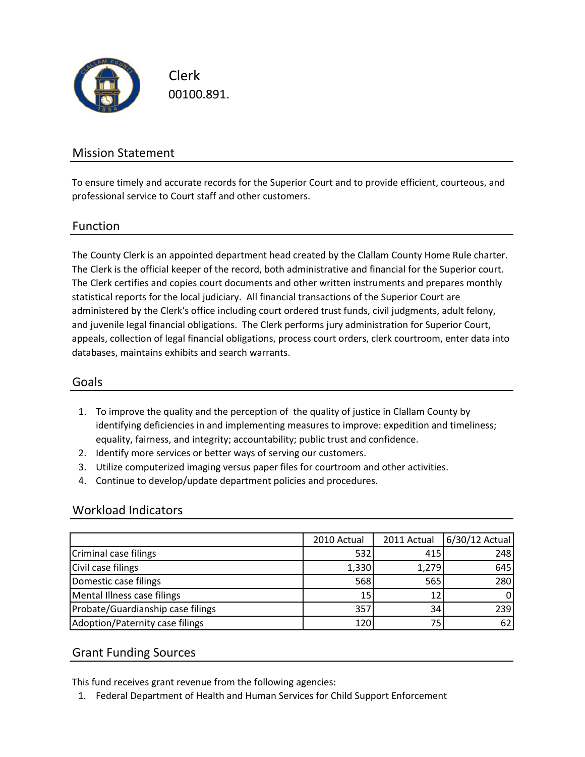

Clerk 00100.891.

### Mission Statement

To ensure timely and accurate records for the Superior Court and to provide efficient, courteous, and professional service to Court staff and other customers.

#### Function

The County Clerk is an appointed department head created by the Clallam County Home Rule charter. The Clerk is the official keeper of the record, both administrative and financial for the Superior court. The Clerk certifies and copies court documents and other written instruments and prepares monthly statistical reports for the local judiciary. All financial transactions of the Superior Court are administered by the Clerk's office including court ordered trust funds, civil judgments, adult felony, and juvenile legal financial obligations. The Clerk performs jury administration for Superior Court, appeals, collection of legal financial obligations, process court orders, clerk courtroom, enter data into databases, maintains exhibits and search warrants.

#### Goals

- 1. To improve the quality and the perception of the quality of justice in Clallam County by identifying deficiencies in and implementing measures to improve: expedition and timeliness; equality, fairness, and integrity; accountability; public trust and confidence.
- 2. Identify more services or better ways of serving our customers.
- 3. Utilize computerized imaging versus paper files for courtroom and other activities.
- 4. Continue to develop/update department policies and procedures.

#### Workload Indicators

|                                   | 2010 Actual | 2011 Actual | 6/30/12 Actual |
|-----------------------------------|-------------|-------------|----------------|
| Criminal case filings             | 532         | 415         | 248            |
| Civil case filings                | 1,330       | 1,279       | 645            |
| Domestic case filings             | 568         | 565         | 280            |
| Mental Illness case filings       | 15          |             |                |
| Probate/Guardianship case filings | 357         | 34          | 239            |
| Adoption/Paternity case filings   | 120         | 75          |                |

#### Grant Funding Sources

This fund receives grant revenue from the following agencies:

1. Federal Department of Health and Human Services for Child Support Enforcement